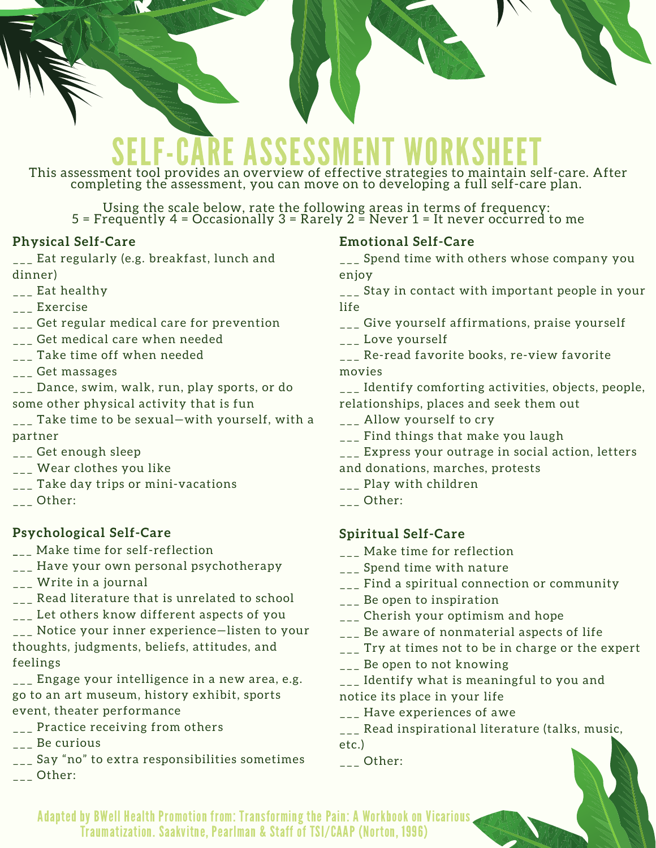# **SELF - CARE ASSESSMENT WORKSHEET**<br>This assessment tool provides an overview of effective strategies to maintain self-care. After

completing the assessment, you can move on to developing a full self-care plan.

Using the scale below, rate the following areas in terms of frequency: 5 = Frequently 4 = Occasionally 3 = Rarely 2 = Never 1 = It never occurred to me

### **Physical Self-Care**

**\_\_\_** Eat regularly (e.g. breakfast, lunch and dinner)

- \_\_\_ Eat healthy
- \_\_\_ Exercise
- \_\_\_ Get regular medical care for prevention
- \_\_\_ Get medical care when needed
- \_\_\_ Take time off when needed
- \_\_\_ Get massages

\_\_\_ Dance, swim, walk, run, play sports, or do some other physical activity that is fun

\_\_\_ Take time to be sexual—with yourself, with a partner

- \_\_\_ Get enough sleep
- \_\_\_ Wear clothes you like
- \_\_\_ Take day trips or mini-vacations
- $\overline{\phantom{a}---}$  Other:

### **Psychological Self-Care**

- **\_**\_\_ Make time for self-reflection
- \_\_\_ Have your own personal psychotherapy
- \_\_\_ Write in a journal
- **\_\_\_** Read literature that is unrelated to school \_\_\_ Let others know different aspects of you
- \_\_\_ Notice your inner experience—listen to your thoughts, judgments, beliefs, attitudes, and feelings
- \_\_\_ Engage your intelligence in a new area, e.g. go to an art museum, history exhibit, sports event, theater performance
- \_\_\_ Practice receiving from others
- \_\_\_ Be curious
- \_\_\_ Say "no" to extra responsibilities sometimes
- $\overline{\phantom{a}}$  Other:

### **Emotional Self-Care**

\_\_\_ Spend time with others whose company you enjoy

\_\_\_ Stay in contact with important people in your life

- \_\_\_ Give yourself affirmations, praise yourself
- \_\_\_ Love yourself

\_\_\_ Re-read favorite books, re-view favorite movies

\_\_\_ Identify comforting activities, objects, people, relationships, places and seek them out

- \_\_\_ Allow yourself to cry
- \_\_\_ Find things that make you laugh
- \_\_\_ Express your outrage in social action, letters
- and donations, marches, protests
- \_\_\_ Play with children
- $_{---}$  Other:

### **Spiritual Self-Care**

- \_\_\_ Make time for reflection
- \_\_\_ Spend time with nature
- \_\_\_ Find a spiritual connection or community
- Be open to inspiration
- \_\_\_ Cherish your optimism and hope
- \_\_\_ Be aware of nonmaterial aspects of life
- \_\_\_ Try at times not to be in charge or the expert
- \_\_\_ Be open to not knowing
- \_\_\_ Identify what is meaningful to you and
- notice its place in your life
- \_\_\_ Have experiences of awe
- \_\_\_ Read inspirational literature (talks, music, etc.)
- \_\_\_ Other:

Adapted by BWell Health Promotion from: Transforming the Pain: A Workbook on Vicarious Traumatization. Saakvitne, Pearlman & Staff of TSI/CAAP (Norton, 1996)